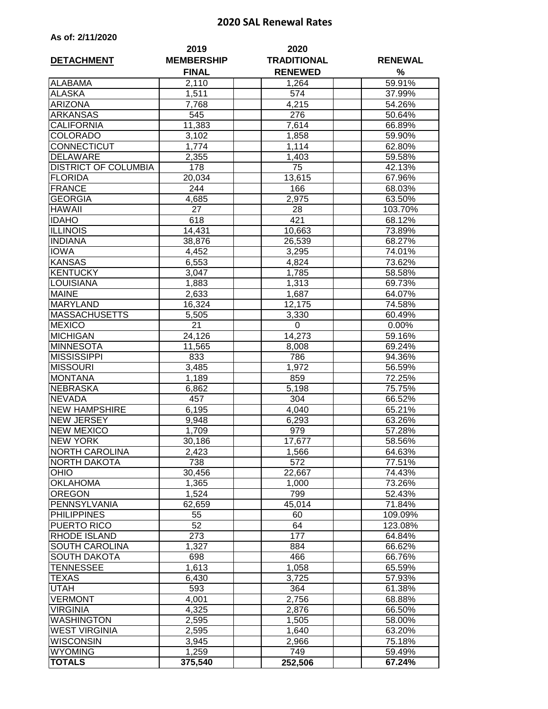## **2020 SAL Renewal Rates**

| <b>DETACHMENT</b>           | 2019<br><b>MEMBERSHIP</b> | 2020<br><b>TRADITIONAL</b> | <b>RENEWAL</b> |
|-----------------------------|---------------------------|----------------------------|----------------|
|                             | <b>FINAL</b>              | <b>RENEWED</b>             | %              |
| <b>ALABAMA</b>              | 2,110                     | 1,264                      | 59.91%         |
| <b>ALASKA</b>               | 1,511                     | 574                        | 37.99%         |
| <b>ARIZONA</b>              | 7,768                     | 4,215                      | 54.26%         |
| <b>ARKANSAS</b>             | 545                       | 276                        | 50.64%         |
| <b>CALIFORNIA</b>           | 11,383                    | 7,614                      | 66.89%         |
| <b>COLORADO</b>             | 3,102                     | 1,858                      | 59.90%         |
| <b>CONNECTICUT</b>          | $\overline{1,774}$        | 1,114                      | $62.80\%$      |
| <b>DELAWARE</b>             | 2,355                     | 1,403                      | 59.58%         |
| <b>DISTRICT OF COLUMBIA</b> | 178                       | 75                         | 42.13%         |
| <b>FLORIDA</b>              | 20,034                    | 13,615                     | 67.96%         |
| <b>FRANCE</b>               | 244                       | 166                        | 68.03%         |
| <b>GEORGIA</b>              | 4,685                     | 2,975                      | 63.50%         |
| <b>HAWAII</b>               | 27                        | 28                         | 103.70%        |
| <b>IDAHO</b>                | 618                       | 421                        | 68.12%         |
| <b>ILLINOIS</b>             | 14,431                    | 10,663                     | 73.89%         |
| <b>INDIANA</b>              | 38,876                    | 26,539                     | 68.27%         |
| <b>IOWA</b>                 | 4,452                     | 3,295                      | 74.01%         |
| <b>KANSAS</b>               | 6,553                     | 4,824                      | 73.62%         |
| <b>KENTUCKY</b>             | 3,047                     | 1,785                      | 58.58%         |
| <b>LOUISIANA</b>            | 1,883                     | 1,313                      | 69.73%         |
| <b>MAINE</b>                | 2,633                     | 1,687                      | 64.07%         |
| <b>MARYLAND</b>             | 16,324                    | 12,175                     | 74.58%         |
| <b>MASSACHUSETTS</b>        | 5,505                     | 3,330                      | 60.49%         |
| <b>MEXICO</b>               | 21                        | $\overline{0}$             | 0.00%          |
| <b>MICHIGAN</b>             | 24,126                    | 14,273                     | 59.16%         |
| <b>MINNESOTA</b>            | 11,565                    | 8,008                      | 69.24%         |
| <b>MISSISSIPPI</b>          | 833                       | 786                        | 94.36%         |
| <b>MISSOURI</b>             | 3,485                     | 1,972                      | 56.59%         |
| <b>MONTANA</b>              | 1,189                     | 859                        | 72.25%         |
| <b>NEBRASKA</b>             | 6,862                     | 5,198                      | 75.75%         |
| <b>NEVADA</b>               | 457                       | 304                        | 66.52%         |
| <b>NEW HAMPSHIRE</b>        | 6,195                     | 4,040                      | 65.21%         |
| <b>NEW JERSEY</b>           | 9,948                     | 6,293                      | 63.26%         |
| <b>NEW MEXICO</b>           | 1,709                     | 979                        | 57.28%         |
| NEW YORK                    | 30,186                    | 17,677                     | 58.56%         |
| <b>NORTH CAROLINA</b>       | 2,423                     | 1,566                      | 64.63%         |
| NORTH DAKOTA                | 738                       | 572                        | 77.51%         |
| <b>OHIO</b>                 | 30,456                    | 22,667                     | 74.43%         |
| <b>OKLAHOMA</b>             | 1,365                     | 1,000                      | 73.26%         |
| <b>OREGON</b>               | 1,524                     | 799                        | 52.43%         |
| PENNSYLVANIA                | 62,659                    | 45,014                     | 71.84%         |
| <b>PHILIPPINES</b>          | 55                        | 60                         | 109.09%        |
| PUERTO RICO                 | 52                        | 64                         | 123.08%        |
| RHODE ISLAND                | 273                       | 177                        | 64.84%         |
| SOUTH CAROLINA              | 1,327                     | 884                        | 66.62%         |
| <b>SOUTH DAKOTA</b>         | 698                       | 466                        | 66.76%         |
| <b>TENNESSEE</b>            | 1,613                     | 1,058                      | 65.59%         |
| <b>TEXAS</b>                | 6,430                     | 3,725                      | 57.93%         |
| <b>UTAH</b>                 | 593                       | 364                        | 61.38%         |
| <b>VERMONT</b>              | 4,001                     | 2,756                      | 68.88%         |
| <b>VIRGINIA</b>             | 4,325                     | 2,876                      | 66.50%         |
| <b>WASHINGTON</b>           | 2,595                     | 1,505                      | 58.00%         |

WEST VIRGINIA | 2,595 | 1,640 | 63.20% VISCONSIN 3,945 2,966 75.18%<br>WYOMING 1.259 749 59.49% WYOMING 1,259 749 749 59.49% **TOTALS 375,540 252,506 67.24%**